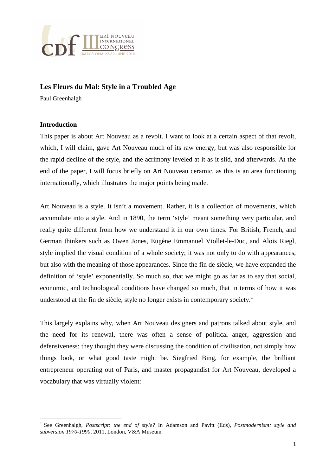

## **Les Fleurs du Mal: Style in a Troubled Age**

Paul Greenhalgh

#### **Introduction**

l

This paper is about Art Nouveau as a revolt. I want to look at a certain aspect of that revolt, which, I will claim, gave Art Nouveau much of its raw energy, but was also responsible for the rapid decline of the style, and the acrimony leveled at it as it slid, and afterwards. At the end of the paper, I will focus briefly on Art Nouveau ceramic, as this is an area functioning internationally, which illustrates the major points being made.

Art Nouveau is a style. It isn't a movement. Rather, it is a collection of movements, which accumulate into a style. And in 1890, the term 'style' meant something very particular, and really quite different from how we understand it in our own times. For British, French, and German thinkers such as Owen Jones, Eugène Emmanuel Viollet-le-Duc, and Alois Riegl, style implied the visual condition of a whole society; it was not only to do with appearances, but also with the meaning of those appearances. Since the fin de siècle, we have expanded the definition of 'style' exponentially. So much so, that we might go as far as to say that social, economic, and technological conditions have changed so much, that in terms of how it was understood at the fin de siècle, style no longer exists in contemporary society.<sup>1</sup>

This largely explains why, when Art Nouveau designers and patrons talked about style, and the need for its renewal, there was often a sense of political anger, aggression and defensiveness: they thought they were discussing the condition of civilisation, not simply how things look, or what good taste might be. Siegfried Bing, for example, the brilliant entrepreneur operating out of Paris, and master propagandist for Art Nouveau, developed a vocabulary that was virtually violent:

<sup>1</sup> See Greenhalgh, *Postscript: the end of style?* In Adamson and Pavitt (Eds), *Postmodernism: style and subversion 1970-1990*, 2011, London, V&A Museum.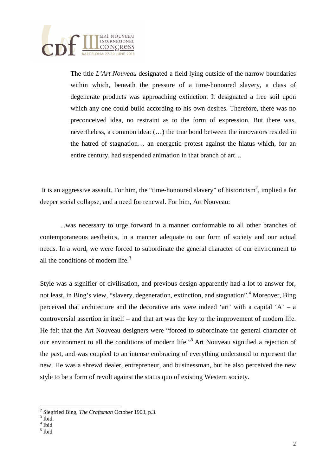

The title *L'Art Nouveau* designated a field lying outside of the narrow boundaries within which, beneath the pressure of a time-honoured slavery, a class of degenerate products was approaching extinction. It designated a free soil upon which any one could build according to his own desires. Therefore, there was no preconceived idea, no restraint as to the form of expression. But there was, nevertheless, a common idea: (…) the true bond between the innovators resided in the hatred of stagnation… an energetic protest against the hiatus which, for an entire century, had suspended animation in that branch of art…

It is an aggressive assault. For him, the "time-honoured slavery" of historicism<sup>2</sup>, implied a far deeper social collapse, and a need for renewal. For him, Art Nouveau:

 ...was necessary to urge forward in a manner conformable to all other branches of contemporaneous aesthetics, in a manner adequate to our form of society and our actual needs. In a word, we were forced to subordinate the general character of our environment to all the conditions of modern life. $3$ 

Style was a signifier of civilisation, and previous design apparently had a lot to answer for, not least, in Bing's view, "slavery, degeneration, extinction, and stagnation".<sup>4</sup> Moreover, Bing perceived that architecture and the decorative arts were indeed 'art' with a capital 'A' – a controversial assertion in itself – and that art was the key to the improvement of modern life. He felt that the Art Nouveau designers were "forced to subordinate the general character of our environment to all the conditions of modern life."<sup>5</sup> Art Nouveau signified a rejection of the past, and was coupled to an intense embracing of everything understood to represent the new. He was a shrewd dealer, entrepreneur, and businessman, but he also perceived the new style to be a form of revolt against the status quo of existing Western society.

 $\overline{a}$ 

5 Ibid

<sup>2</sup> Siegfried Bing, *The Craftsman* October 1903, p.3.

 $3$  Ibid.

<sup>4</sup> Ibid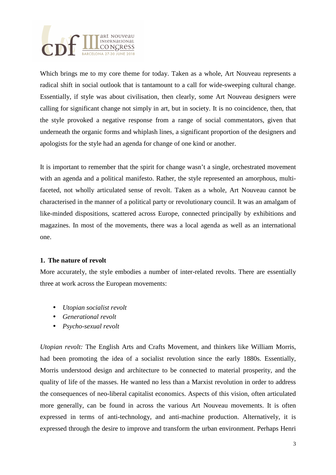

Which brings me to my core theme for today. Taken as a whole, Art Nouveau represents a radical shift in social outlook that is tantamount to a call for wide-sweeping cultural change. Essentially, if style was about civilisation, then clearly, some Art Nouveau designers were calling for significant change not simply in art, but in society. It is no coincidence, then, that the style provoked a negative response from a range of social commentators, given that underneath the organic forms and whiplash lines, a significant proportion of the designers and apologists for the style had an agenda for change of one kind or another.

It is important to remember that the spirit for change wasn't a single, orchestrated movement with an agenda and a political manifesto. Rather, the style represented an amorphous, multifaceted, not wholly articulated sense of revolt. Taken as a whole, Art Nouveau cannot be characterised in the manner of a political party or revolutionary council. It was an amalgam of like-minded dispositions, scattered across Europe, connected principally by exhibitions and magazines. In most of the movements, there was a local agenda as well as an international one.

### **1. The nature of revolt**

More accurately, the style embodies a number of inter-related revolts. There are essentially three at work across the European movements:

- *Utopian socialist revolt*
- *Generational revolt*
- *Psycho-sexual revolt*

*Utopian revolt:* The English Arts and Crafts Movement, and thinkers like William Morris, had been promoting the idea of a socialist revolution since the early 1880s. Essentially, Morris understood design and architecture to be connected to material prosperity, and the quality of life of the masses. He wanted no less than a Marxist revolution in order to address the consequences of neo-liberal capitalist economics. Aspects of this vision, often articulated more generally, can be found in across the various Art Nouveau movements. It is often expressed in terms of anti-technology, and anti-machine production. Alternatively, it is expressed through the desire to improve and transform the urban environment. Perhaps Henri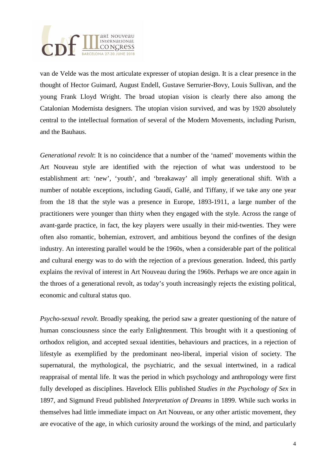

van de Velde was the most articulate expresser of utopian design. It is a clear presence in the thought of Hector Guimard, August Endell, Gustave Serrurier-Bovy, Louis Sullivan, and the young Frank Lloyd Wright. The broad utopian vision is clearly there also among the Catalonian Modernista designers. The utopian vision survived, and was by 1920 absolutely central to the intellectual formation of several of the Modern Movements, including Purism, and the Bauhaus.

*Generational revolt*: It is no coincidence that a number of the 'named' movements within the Art Nouveau style are identified with the rejection of what was understood to be establishment art: 'new', 'youth', and 'breakaway' all imply generational shift. With a number of notable exceptions, including Gaudí, Gallé, and Tiffany, if we take any one year from the 18 that the style was a presence in Europe, 1893-1911, a large number of the practitioners were younger than thirty when they engaged with the style. Across the range of avant-garde practice, in fact, the key players were usually in their mid-twenties. They were often also romantic, bohemian, extrovert, and ambitious beyond the confines of the design industry. An interesting parallel would be the 1960s, when a considerable part of the political and cultural energy was to do with the rejection of a previous generation. Indeed, this partly explains the revival of interest in Art Nouveau during the 1960s. Perhaps we are once again in the throes of a generational revolt, as today's youth increasingly rejects the existing political, economic and cultural status quo.

*Psycho-sexual revolt*. Broadly speaking, the period saw a greater questioning of the nature of human consciousness since the early Enlightenment. This brought with it a questioning of orthodox religion, and accepted sexual identities, behaviours and practices, in a rejection of lifestyle as exemplified by the predominant neo-liberal, imperial vision of society. The supernatural, the mythological, the psychiatric, and the sexual intertwined, in a radical reappraisal of mental life. It was the period in which psychology and anthropology were first fully developed as disciplines. Havelock Ellis published *Studies in the Psychology of Sex* in 1897, and Sigmund Freud published *Interpretation of Dreams* in 1899. While such works in themselves had little immediate impact on Art Nouveau, or any other artistic movement, they are evocative of the age, in which curiosity around the workings of the mind, and particularly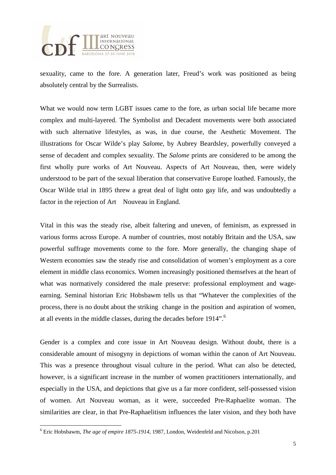

sexuality, came to the fore. A generation later, Freud's work was positioned as being absolutely central by the Surrealists.

What we would now term LGBT issues came to the fore, as urban social life became more complex and multi-layered. The Symbolist and Decadent movements were both associated with such alternative lifestyles, as was, in due course, the Aesthetic Movement. The illustrations for Oscar Wilde's play *Salome*, by Aubrey Beardsley, powerfully conveyed a sense of decadent and complex sexuality. The *Salome* prints are considered to be among the first wholly pure works of Art Nouveau. Aspects of Art Nouveau, then, were widely understood to be part of the sexual liberation that conservative Europe loathed. Famously, the Oscar Wilde trial in 1895 threw a great deal of light onto gay life, and was undoubtedly a factor in the rejection of Art Nouveau in England.

Vital in this was the steady rise, albeit faltering and uneven, of feminism, as expressed in various forms across Europe. A number of countries, most notably Britain and the USA, saw powerful suffrage movements come to the fore. More generally, the changing shape of Western economies saw the steady rise and consolidation of women's employment as a core element in middle class economics. Women increasingly positioned themselves at the heart of what was normatively considered the male preserve: professional employment and wageearning. Seminal historian Eric Hobsbawm tells us that "Whatever the complexities of the process, there is no doubt about the striking change in the position and aspiration of women, at all events in the middle classes, during the decades before 1914".<sup>6</sup>

Gender is a complex and core issue in Art Nouveau design. Without doubt, there is a considerable amount of misogyny in depictions of woman within the canon of Art Nouveau. This was a presence throughout visual culture in the period. What can also be detected, however, is a significant increase in the number of women practitioners internationally, and especially in the USA, and depictions that give us a far more confident, self-possessed vision of women. Art Nouveau woman, as it were, succeeded Pre-Raphaelite woman. The similarities are clear, in that Pre-Raphaelitism influences the later vision, and they both have

 6 Eric Hobsbawm, *The age of empire 1875-1914*, 1987, London, Weidenfeld and Nicolson, p.201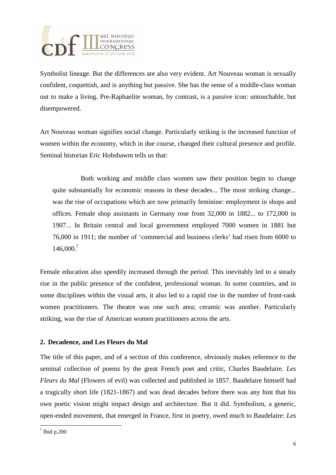

Symbolist lineage. But the differences are also very evident. Art Nouveau woman is sexually confident, coquettish, and is anything but passive. She has the sense of a middle-class woman out to make a living. Pre-Raphaelite woman, by contrast, is a passive icon: untouchable, but disempowered.

Art Nouveau woman signifies social change. Particularly striking is the increased function of women within the economy, which in due course, changed their cultural presence and profile. Seminal historian Eric Hobsbawm tells us that:

 Both working and middle class women saw their position begin to change quite substantially for economic reasons in these decades... The most striking change... was the rise of occupations which are now primarily feminine: employment in shops and offices. Female shop assistants in Germany rose from 32,000 in 1882... to 172,000 in 1907... In Britain central and local government employed 7000 women in 1881 but 76,000 in 1911; the number of 'commercial and business clerks' had risen from 6000 to 146,000.<sup>7</sup>

Female education also speedily increased through the period. This inevitably led to a steady rise in the public presence of the confident, professional woman. In some countries, and in some disciplines within the visual arts, it also led to a rapid rise in the number of front-rank women practitioners. The theatre was one such area; ceramic was another. Particularly striking, was the rise of American women practitioners across the arts.

### **2. Decadence, and Les Fleurs du Mal**

The title of this paper, and of a section of this conference, obviously makes reference to the seminal collection of poems by the great French poet and critic, Charles Baudelaire. *Les Fleurs du Mal* (Flowers of evil) was collected and published in 1857. Baudelaire himself had a tragically short life (1821-1867) and was dead decades before there was any hint that his own poetic vision might impact design and architecture. But it did. Symbolism, a generic, open-ended movement, that emerged in France, first in poetry, owed much to Baudelaire: *Les* 

l  $7$  Ibid p.200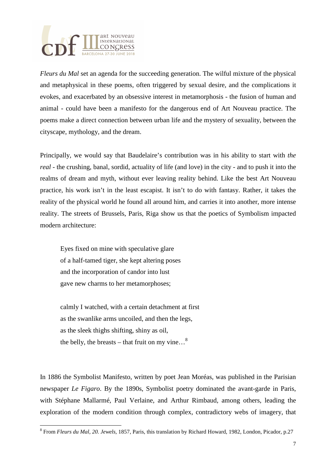

*Fleurs du Mal* set an agenda for the succeeding generation. The wilful mixture of the physical and metaphysical in these poems, often triggered by sexual desire, and the complications it evokes, and exacerbated by an obsessive interest in metamorphosis - the fusion of human and animal - could have been a manifesto for the dangerous end of Art Nouveau practice. The poems make a direct connection between urban life and the mystery of sexuality, between the cityscape, mythology, and the dream.

Principally, we would say that Baudelaire's contribution was in his ability to start with *the real* - the crushing, banal, sordid, actuality of life (and love) in the city - and to push it into the realms of dream and myth, without ever leaving reality behind. Like the best Art Nouveau practice, his work isn't in the least escapist. It isn't to do with fantasy. Rather, it takes the reality of the physical world he found all around him, and carries it into another, more intense reality. The streets of Brussels, Paris, Riga show us that the poetics of Symbolism impacted modern architecture:

 Eyes fixed on mine with speculative glare of a half-tamed tiger, she kept altering poses and the incorporation of candor into lust gave new charms to her metamorphoses;

 calmly I watched, with a certain detachment at first as the swanlike arms uncoiled, and then the legs, as the sleek thighs shifting, shiny as oil, the belly, the breasts – that fruit on my vine... $^8$ 

l

In 1886 the Symbolist Manifesto, written by poet Jean Moréas, was published in the Parisian newspaper *Le Figaro*. By the 1890s, Symbolist poetry dominated the avant-garde in Paris, with Stéphane Mallarmé, Paul Verlaine, and Arthur Rimbaud, among others, leading the exploration of the modern condition through complex, contradictory webs of imagery, that

<sup>8</sup> From *Fleurs du Mal*, *20. Jewels*, 1857, Paris, this translation by Richard Howard, 1982, London, Picador, p.27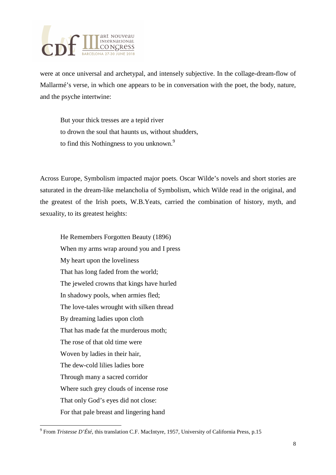

were at once universal and archetypal, and intensely subjective. In the collage-dream-flow of Mallarmé's verse, in which one appears to be in conversation with the poet, the body, nature, and the psyche intertwine:

 But your thick tresses are a tepid river to drown the soul that haunts us, without shudders, to find this Nothingness to you unknown.<sup>9</sup>

Across Europe, Symbolism impacted major poets. Oscar Wilde's novels and short stories are saturated in the dream-like melancholia of Symbolism, which Wilde read in the original, and the greatest of the Irish poets, W.B.Yeats, carried the combination of history, myth, and sexuality, to its greatest heights:

 He Remembers Forgotten Beauty (1896) When my arms wrap around you and I press My heart upon the loveliness That has long faded from the world; The jeweled crowns that kings have hurled In shadowy pools, when armies fled; The love-tales wrought with silken thread By dreaming ladies upon cloth That has made fat the murderous moth; The rose of that old time were Woven by ladies in their hair, The dew-cold lilies ladies bore Through many a sacred corridor Where such grey clouds of incense rose That only God's eyes did not close: For that pale breast and lingering hand

l

<sup>9</sup> From *Tristesse D'Été*, this translation C.F. MacIntyre, 1957, University of California Press, p.15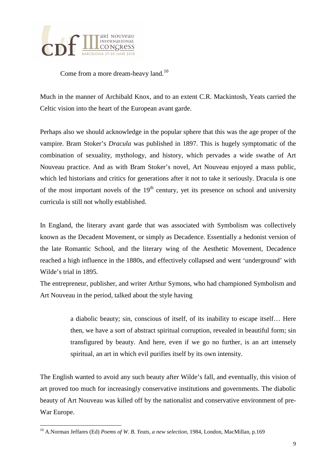

Come from a more dream-heavy land.<sup>10</sup>

Much in the manner of Archibald Knox, and to an extent C.R. Mackintosh, Yeats carried the Celtic vision into the heart of the European avant garde.

Perhaps also we should acknowledge in the popular sphere that this was the age proper of the vampire. Bram Stoker's *Dracula* was published in 1897. This is hugely symptomatic of the combination of sexuality, mythology, and history, which pervades a wide swathe of Art Nouveau practice. And as with Bram Stoker's novel, Art Nouveau enjoyed a mass public, which led historians and critics for generations after it not to take it seriously. Dracula is one of the most important novels of the  $19<sup>th</sup>$  century, yet its presence on school and university curricula is still not wholly established.

In England, the literary avant garde that was associated with Symbolism was collectively known as the Decadent Movement, or simply as Decadence. Essentially a hedonist version of the late Romantic School, and the literary wing of the Aesthetic Movement, Decadence reached a high influence in the 1880s, and effectively collapsed and went 'underground' with Wilde's trial in 1895.

The entrepreneur, publisher, and writer Arthur Symons, who had championed Symbolism and Art Nouveau in the period, talked about the style having

> a diabolic beauty; sin, conscious of itself, of its inability to escape itself… Here then, we have a sort of abstract spiritual corruption, revealed in beautiful form; sin transfigured by beauty. And here, even if we go no further, is an art intensely spiritual, an art in which evil purifies itself by its own intensity.

The English wanted to avoid any such beauty after Wilde's fall, and eventually, this vision of art proved too much for increasingly conservative institutions and governments. The diabolic beauty of Art Nouveau was killed off by the nationalist and conservative environment of pre-War Europe.

l

<sup>10</sup> A.Norman Jeffares (Ed) *Poems of W. B. Yeats, a new selection*, 1984, London, MacMillan, p.169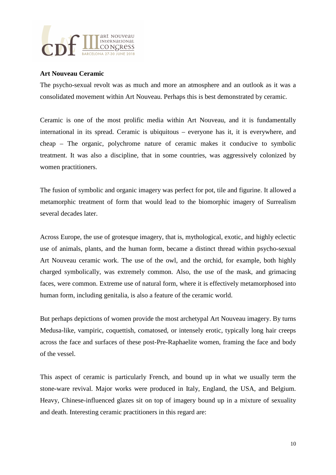

#### **Art Nouveau Ceramic**

The psycho-sexual revolt was as much and more an atmosphere and an outlook as it was a consolidated movement within Art Nouveau. Perhaps this is best demonstrated by ceramic.

Ceramic is one of the most prolific media within Art Nouveau, and it is fundamentally international in its spread. Ceramic is ubiquitous – everyone has it, it is everywhere, and cheap – The organic, polychrome nature of ceramic makes it conducive to symbolic treatment. It was also a discipline, that in some countries, was aggressively colonized by women practitioners.

The fusion of symbolic and organic imagery was perfect for pot, tile and figurine. It allowed a metamorphic treatment of form that would lead to the biomorphic imagery of Surrealism several decades later.

Across Europe, the use of grotesque imagery, that is, mythological, exotic, and highly eclectic use of animals, plants, and the human form, became a distinct thread within psycho-sexual Art Nouveau ceramic work. The use of the owl, and the orchid, for example, both highly charged symbolically, was extremely common. Also, the use of the mask, and grimacing faces, were common. Extreme use of natural form, where it is effectively metamorphosed into human form, including genitalia, is also a feature of the ceramic world.

But perhaps depictions of women provide the most archetypal Art Nouveau imagery. By turns Medusa-like, vampiric, coquettish, comatosed, or intensely erotic, typically long hair creeps across the face and surfaces of these post-Pre-Raphaelite women, framing the face and body of the vessel.

This aspect of ceramic is particularly French, and bound up in what we usually term the stone-ware revival. Major works were produced in Italy, England, the USA, and Belgium. Heavy, Chinese-influenced glazes sit on top of imagery bound up in a mixture of sexuality and death. Interesting ceramic practitioners in this regard are: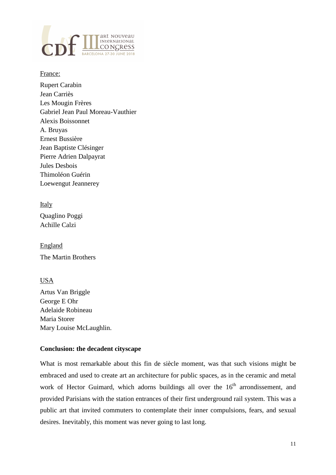

#### France:

Rupert Carabin Jean Carriès Les Mougin Frères Gabriel Jean Paul Moreau-Vauthier Alexis Boissonnet A. Bruyas Ernest Bussière Jean Baptiste Clésinger Pierre Adrien Dalpayrat Jules Desbois Thimoléon Guérin Loewengut Jeannerey

## Italy

Quaglino Poggi Achille Calzi

England The Martin Brothers

# USA

Artus Van Briggle George E Ohr Adelaide Robineau Maria Storer Mary Louise McLaughlin.

# **Conclusion: the decadent cityscape**

What is most remarkable about this fin de siècle moment, was that such visions might be embraced and used to create art an architecture for public spaces, as in the ceramic and metal work of Hector Guimard, which adorns buildings all over the  $16<sup>th</sup>$  arrondissement, and provided Parisians with the station entrances of their first underground rail system. This was a public art that invited commuters to contemplate their inner compulsions, fears, and sexual desires. Inevitably, this moment was never going to last long.